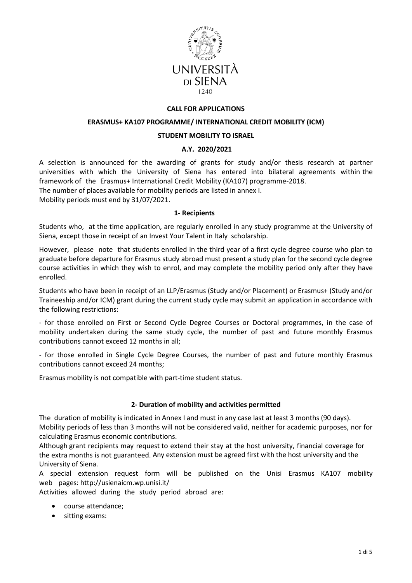

## **CALL FOR APPLICATIONS**

#### **ERASMUS+ KA107 PROGRAMME/ INTERNATIONAL CREDIT MOBILITY (ICM)**

#### **STUDENT MOBILITY TO ISRAEL**

## **A.Y. 2020/2021**

A selection is announced for the awarding of grants for study and/or thesis research at partner universities with which the University of Siena has entered into bilateral agreements within the framework of the Erasmus+ International Credit Mobility (KA107) programme-2018.

The number of places available for mobility periods are listed in annex I.

Mobility periods must end by 31/07/2021.

#### **1- Recipients**

Students who, at the time application, are regularly enrolled in any study programme at the University of Siena, except those in receipt of an Invest Your Talent in Italy scholarship.

However, please note that students enrolled in the third year of a first cycle degree course who plan to graduate before departure for Erasmus study abroad must present a study plan for the second cycle degree course activities in which they wish to enrol, and may complete the mobility period only after they have enrolled.

Students who have been in receipt of an LLP/Erasmus (Study and/or Placement) or Erasmus+ (Study and/or Traineeship and/or ICM) grant during the current study cycle may submit an application in accordance with the following restrictions:

- for those enrolled on First or Second Cycle Degree Courses or Doctoral programmes, in the case of mobility undertaken during the same study cycle, the number of past and future monthly Erasmus contributions cannot exceed 12 months in all;

- for those enrolled in Single Cycle Degree Courses, the number of past and future monthly Erasmus contributions cannot exceed 24 months;

Erasmus mobility is not compatible with part-time student status.

## **2- Duration of mobility and activities permitted**

The duration of mobility is indicated in Annex I and must in any case last at least 3 months (90 days). Mobility periods of less than 3 months will not be considered valid, neither for academic purposes, nor for calculating Erasmus economic contributions.

Although grant recipients may request to extend their stay at the host university, financial coverage for the extra months is not guaranteed. Any extension must be agreed first with the host university and the University of Siena.

A special extension request form will be published on the Unisi Erasmus KA107 mobility web pages: http://usienaicm.wp.unisi.it/

Activities allowed during the study period abroad are:

- course attendance;
- sitting exams: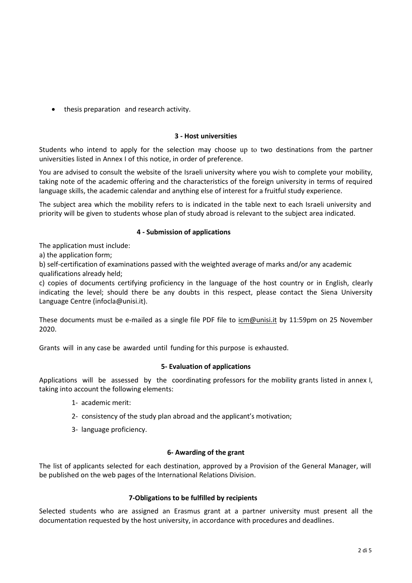• thesis preparation and research activity.

## **3 - Host universities**

Students who intend to apply for the selection may choose up to two destinations from the partner universities listed in Annex I of this notice, in order of preference.

You are advised to consult the website of the Israeli university where you wish to complete your mobility, taking note of the academic offering and the characteristics of the foreign university in terms of required language skills, the academic calendar and anything else of interest for a fruitful study experience.

The subject area which the mobility refers to is indicated in the table next to each Israeli university and priority will be given to students whose plan of study abroad is relevant to the subject area indicated.

# **4 - Submission of applications**

The application must include:

a) the application form;

b) self-certification of examinations passed with the weighted average of marks and/or any academic qualifications already held;

c) copies of documents certifying proficiency in the language of the host country or in English, clearly indicating the level; should there be any doubts in this respect, please contact the Siena University Language Centre (infocla@unisi.it).

These documents must be e-mailed as a single file PDF file to [icm@unisi.it](mailto:icm@unisi.it) by 11:59pm on 25 November 2020.

Grants will in any case be awarded until funding for this purpose is exhausted.

# **5- Evaluation of applications**

Applications will be assessed by the coordinating professors for the mobility grants listed in annex I, taking into account the following elements:

- 1- academic merit:
- 2- consistency of the study plan abroad and the applicant's motivation;
- 3- language proficiency.

## **6- Awarding of the grant**

The list of applicants selected for each destination, approved by a Provision of the General Manager, will be published on the web pages of the International Relations Division.

## **7-Obligations to be fulfilled by recipients**

Selected students who are assigned an Erasmus grant at a partner university must present all the documentation requested by the host university, in accordance with procedures and deadlines.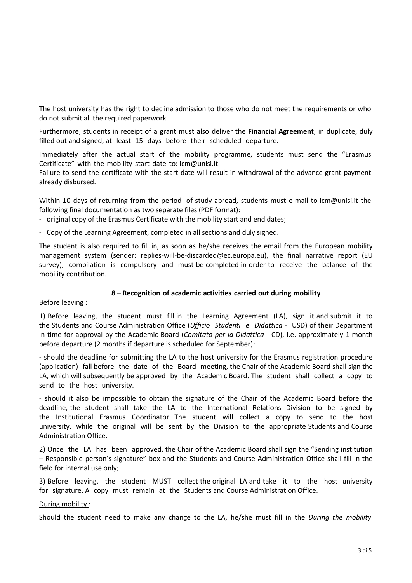The host university has the right to decline admission to those who do not meet the requirements or who do not submit all the required paperwork.

Furthermore, students in receipt of a grant must also deliver the **Financial Agreement**, in duplicate, duly filled out and signed, at least 15 days before their scheduled departure.

Immediately after the actual start of the mobility programme, students must send the "Erasmus Certificate" with the mobility start date to: [icm@unisi.it.](mailto:icm@unisi.it)

Failure to send the certificate with the start date will result in withdrawal of the advance grant payment already disbursed.

Within 10 days of returning from the period of study abroad, students must e-mail to [icm@unisi.it](mailto:icm@unisi.it) the following final documentation as two separate files (PDF format):

- original copy of the Erasmus Certificate with the mobility start and end dates;
- Copy of the Learning Agreement, completed in all sections and duly signed.

The student is also required to fill in, as soon as he/she receives the email from the European mobility management system (sender: replies-will-be-discarded@ec.europa.eu), the final narrative report (EU survey); compilation is compulsory and must be completed in order to receive the balance of the mobility contribution.

#### **8 – Recognition of academic activities carried out during mobility**

#### Before leaving :

1) Before leaving, the student must fill in the Learning Agreement (LA), sign it and submit it to the Students and Course Administration Office (*Ufficio Studenti e Didattica* - USD) of their Department in time for approval by the Academic Board (*Comitato per la Didattica* - CD), i.e. approximately 1 month before departure (2 months if departure is scheduled for September);

- should the deadline for submitting the LA to the host university for the Erasmus registration procedure (application) fall before the date of the Board meeting, the Chair of the Academic Board shall sign the LA, which will subsequently be approved by the Academic Board. The student shall collect a copy to send to the host university.

- should it also be impossible to obtain the signature of the Chair of the Academic Board before the deadline, the student shall take the LA to the International Relations Division to be signed by the Institutional Erasmus Coordinator. The student will collect a copy to send to the host university, while the original will be sent by the Division to the appropriate Students and Course Administration Office.

2) Once the LA has been approved, the Chair of the Academic Board shall sign the "Sending institution – Responsible person's signature" box and the Students and Course Administration Office shall fill in the field for internal use only;

3) Before leaving, the student MUST collect the original LA and take it to the host university for signature. A copy must remain at the Students and Course Administration Office.

#### During mobility :

Should the student need to make any change to the LA, he/she must fill in the *During the mobility*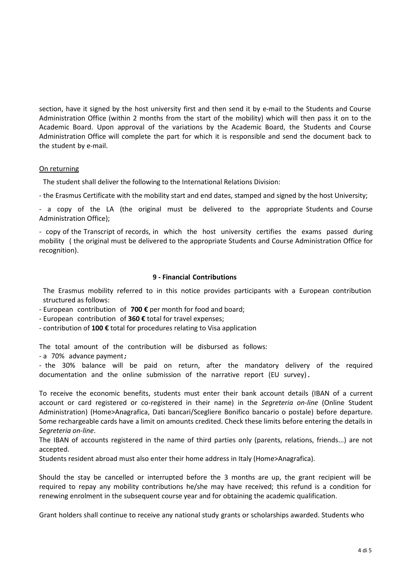section, have it signed by the host university first and then send it by e-mail to the Students and Course Administration Office (within 2 months from the start of the mobility) which will then pass it on to the Academic Board. Upon approval of the variations by the Academic Board, the Students and Course Administration Office will complete the part for which it is responsible and send the document back to the student by e-mail.

## On returning

The student shall deliver the following to the International Relations Division:

- the Erasmus Certificate with the mobility start and end dates, stamped and signed by the host University;

- a copy of the LA (the original must be delivered to the appropriate Students and Course Administration Office);

- copy of the Transcript of records, in which the host university certifies the exams passed during mobility ( the original must be delivered to the appropriate Students and Course Administration Office for recognition).

# **9 - Financial Contributions**

The Erasmus mobility referred to in this notice provides participants with a European contribution structured as follows:

- European contribution of **700 €** per month for food and board;

- European contribution of **360 €** total for travel expenses;

- contribution of **100 €** total for procedures relating to Visa application

The total amount of the contribution will be disbursed as follows:

- a 70% advance payment;

- the 30% balance will be paid on return, after the mandatory delivery of the required documentation and the online submission of the narrative report (EU survey).

To receive the economic benefits, students must enter their bank account details (IBAN of a current account or card registered or co-registered in their name) in the *Segreteria on-line* (Online Student Administration) (Home>Anagrafica, Dati bancari/Scegliere Bonifico bancario o postale) before departure. Some rechargeable cards have a limit on amounts credited. Check these limits before entering the details in *Segreteria on-line*.

The IBAN of accounts registered in the name of third parties only (parents, relations, friends...) are not accepted.

Students resident abroad must also enter their home address in Italy (Home>Anagrafica).

Should the stay be cancelled or interrupted before the 3 months are up, the grant recipient will be required to repay any mobility contributions he/she may have received; this refund is a condition for renewing enrolment in the subsequent course year and for obtaining the academic qualification.

Grant holders shall continue to receive any national study grants or scholarships awarded. Students who